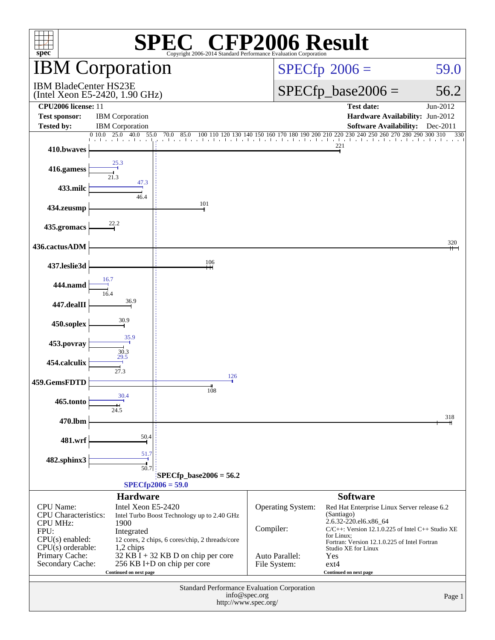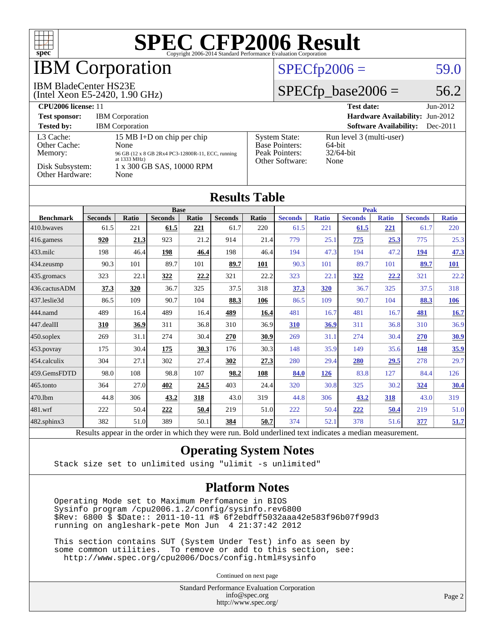

### **BM Corporation**

#### IBM BladeCenter HS23E

(Intel Xeon E5-2420, 1.90 GHz)

#### $SPECfp2006 = 59.0$  $SPECfp2006 = 59.0$

#### $SPECfp\_base2006 = 56.2$

| <b>CPU2006 license: 11</b>                                                        |                                                                                                                                                         | <b>Test date:</b><br>$Jun-2012$                                                    |                                                            |
|-----------------------------------------------------------------------------------|---------------------------------------------------------------------------------------------------------------------------------------------------------|------------------------------------------------------------------------------------|------------------------------------------------------------|
| <b>Test sponsor:</b>                                                              | <b>IBM</b> Corporation                                                                                                                                  |                                                                                    | <b>Hardware Availability: Jun-2012</b>                     |
| <b>Tested by:</b>                                                                 | <b>IBM</b> Corporation                                                                                                                                  |                                                                                    | <b>Software Availability:</b><br>Dec-2011                  |
| L3 Cache:<br>Other Cache:<br>Memory:<br>Disk Subsystem:<br><b>Other Hardware:</b> | 15 MB I+D on chip per chip<br>None<br>96 GB (12 x 8 GB 2Rx4 PC3-12800R-11, ECC, running<br>at $1333 \text{ MHz}$ )<br>1 x 300 GB SAS, 10000 RPM<br>None | <b>System State:</b><br><b>Base Pointers:</b><br>Peak Pointers:<br>Other Software: | Run level 3 (multi-user)<br>64-bit<br>$32/64$ -bit<br>None |

**[Results Table](http://www.spec.org/auto/cpu2006/Docs/result-fields.html#ResultsTable)**

| Results Tadie                                                                                                                                                                                                                                                                                                                                                                                                    |                |              |                |       |                |              |                |              |                |              |                |              |
|------------------------------------------------------------------------------------------------------------------------------------------------------------------------------------------------------------------------------------------------------------------------------------------------------------------------------------------------------------------------------------------------------------------|----------------|--------------|----------------|-------|----------------|--------------|----------------|--------------|----------------|--------------|----------------|--------------|
|                                                                                                                                                                                                                                                                                                                                                                                                                  |                |              | <b>Base</b>    |       |                |              | <b>Peak</b>    |              |                |              |                |              |
| <b>Benchmark</b>                                                                                                                                                                                                                                                                                                                                                                                                 | <b>Seconds</b> | <b>Ratio</b> | <b>Seconds</b> | Ratio | <b>Seconds</b> | <b>Ratio</b> | <b>Seconds</b> | <b>Ratio</b> | <b>Seconds</b> | <b>Ratio</b> | <b>Seconds</b> | <b>Ratio</b> |
| 410.bwaves                                                                                                                                                                                                                                                                                                                                                                                                       | 61.5           | 221          | 61.5           | 221   | 61.7           | 220          | 61.5           | 221          | 61.5           | 221          | 61.7           | 220          |
| 416.gamess                                                                                                                                                                                                                                                                                                                                                                                                       | 920            | 21.3         | 923            | 21.2  | 914            | 21.4         | 779            | 25.1         | 775            | 25.3         | 775            | 25.3         |
| $433$ .milc                                                                                                                                                                                                                                                                                                                                                                                                      | 198            | 46.4         | 198            | 46.4  | 198            | 46.4         | 194            | 47.3         | 194            | 47.2         | 194            | 47.3         |
| $434$ . zeusmp                                                                                                                                                                                                                                                                                                                                                                                                   | 90.3           | 101          | 89.7           | 101   | 89.7           | 101          | 90.3           | 101          | 89.7           | 101          | 89.7           | <u>101</u>   |
| 435.gromacs                                                                                                                                                                                                                                                                                                                                                                                                      | 323            | 22.1         | 322            | 22.2  | 321            | 22.2         | 323            | 22.1         | 322            | 22.2         | 321            | 22.2         |
| 436.cactusADM                                                                                                                                                                                                                                                                                                                                                                                                    | 37.3           | 320          | 36.7           | 325   | 37.5           | 318          | <b>37.3</b>    | 320          | 36.7           | 325          | 37.5           | 318          |
| 437.leslie3d                                                                                                                                                                                                                                                                                                                                                                                                     | 86.5           | 109          | 90.7           | 104   | 88.3           | 106          | 86.5           | 109          | 90.7           | 104          | 88.3           | <u>106</u>   |
| 444.namd                                                                                                                                                                                                                                                                                                                                                                                                         | 489            | 16.4         | 489            | 16.4  | 489            | 16.4         | 481            | 16.7         | 481            | 16.7         | <b>481</b>     | 16.7         |
| $447$ .dealII                                                                                                                                                                                                                                                                                                                                                                                                    | 310            | 36.9         | 311            | 36.8  | 310            | 36.9         | 310            | 36.9         | 311            | 36.8         | 310            | 36.9         |
| $450$ .soplex                                                                                                                                                                                                                                                                                                                                                                                                    | 269            | 31.1         | 274            | 30.4  | 270            | 30.9         | 269            | 31.1         | 274            | 30.4         | 270            | <u>30.9</u>  |
| 453.povray                                                                                                                                                                                                                                                                                                                                                                                                       | 175            | 30.4         | <u>175</u>     | 30.3  | 176            | 30.3         | 148            | 35.9         | 149            | 35.6         | 148            | 35.9         |
| 454.calculix                                                                                                                                                                                                                                                                                                                                                                                                     | 304            | 27.1         | 302            | 27.4  | 302            | 27.3         | 280            | 29.4         | 280            | 29.5         | 278            | 29.7         |
| 459.GemsFDTD                                                                                                                                                                                                                                                                                                                                                                                                     | 98.0           | 108          | 98.8           | 107   | 98.2           | 108          | 84.0           | 126          | 83.8           | 127          | 84.4           | 126          |
| $465$ .tonto                                                                                                                                                                                                                                                                                                                                                                                                     | 364            | 27.0         | 402            | 24.5  | 403            | 24.4         | 320            | 30.8         | 325            | 30.2         | 324            | 30.4         |
| 470.1bm                                                                                                                                                                                                                                                                                                                                                                                                          | 44.8           | 306          | 43.2           | 318   | 43.0           | 319          | 44.8           | 306          | 43.2           | 318          | 43.0           | 319          |
| 481.wrf                                                                                                                                                                                                                                                                                                                                                                                                          | 222            | 50.4         | 222            | 50.4  | 219            | 51.0         | 222            | 50.4         | 222            | 50.4         | 219            | 51.0         |
| $482$ .sphinx $3$                                                                                                                                                                                                                                                                                                                                                                                                | 382            | 51.0         | 389            | 50.1  | 384            | 50.7         | 374            | 52.1         | 378            | 51.6         | 377            | 51.7         |
| and the first state of the first state.<br>11.<br>$\mathbf{D}$ $\mathbf{D}$ $\mathbf{D}$ $\mathbf{D}$ $\mathbf{D}$ $\mathbf{D}$ $\mathbf{D}$ $\mathbf{D}$ $\mathbf{D}$ $\mathbf{D}$ $\mathbf{D}$ $\mathbf{D}$ $\mathbf{D}$ $\mathbf{D}$ $\mathbf{D}$ $\mathbf{D}$ $\mathbf{D}$ $\mathbf{D}$ $\mathbf{D}$ $\mathbf{D}$ $\mathbf{D}$ $\mathbf{D}$ $\mathbf{D}$ $\mathbf{D}$ $\mathbf{$<br>$\mathbf{D}$ $\cdot$ 1.1 |                |              |                |       |                |              |                |              |                |              |                |              |

Results appear in the [order in which they were run.](http://www.spec.org/auto/cpu2006/Docs/result-fields.html#RunOrder) Bold underlined text [indicates a median measurement.](http://www.spec.org/auto/cpu2006/Docs/result-fields.html#Median)

#### **[Operating System Notes](http://www.spec.org/auto/cpu2006/Docs/result-fields.html#OperatingSystemNotes)**

Stack size set to unlimited using "ulimit -s unlimited"

#### **[Platform Notes](http://www.spec.org/auto/cpu2006/Docs/result-fields.html#PlatformNotes)**

 Operating Mode set to Maximum Perfomance in BIOS Sysinfo program /cpu2006.1.2/config/sysinfo.rev6800 \$Rev: 6800 \$ \$Date:: 2011-10-11 #\$ 6f2ebdff5032aaa42e583f96b07f99d3 running on angleshark-pete Mon Jun 4 21:37:42 2012

 This section contains SUT (System Under Test) info as seen by some common utilities. To remove or add to this section, see: <http://www.spec.org/cpu2006/Docs/config.html#sysinfo>

Continued on next page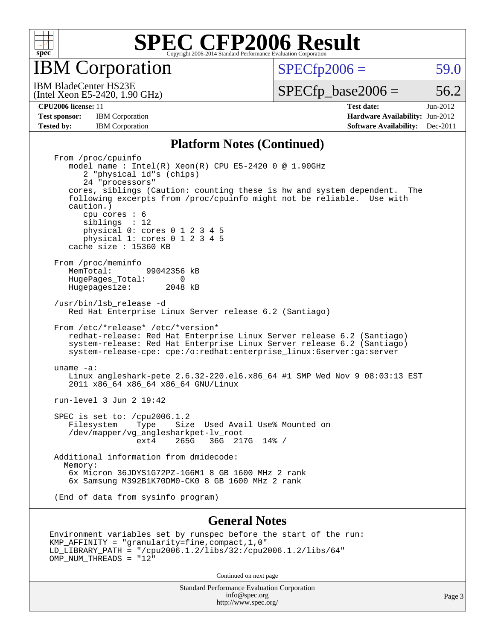

IBM Corporation

 $SPECTp2006 = 59.0$ 

(Intel Xeon E5-2420, 1.90 GHz) IBM BladeCenter HS23E

 $SPECTp\_base2006 = 56.2$ 

**[Test sponsor:](http://www.spec.org/auto/cpu2006/Docs/result-fields.html#Testsponsor)** IBM Corporation **IBM** Corporation **[Hardware Availability:](http://www.spec.org/auto/cpu2006/Docs/result-fields.html#HardwareAvailability)** Jun-2012 **[Tested by:](http://www.spec.org/auto/cpu2006/Docs/result-fields.html#Testedby)** IBM Corporation **[Software Availability:](http://www.spec.org/auto/cpu2006/Docs/result-fields.html#SoftwareAvailability)** Dec-2011

**[CPU2006 license:](http://www.spec.org/auto/cpu2006/Docs/result-fields.html#CPU2006license)** 11 **[Test date:](http://www.spec.org/auto/cpu2006/Docs/result-fields.html#Testdate)** Jun-2012

#### **[Platform Notes \(Continued\)](http://www.spec.org/auto/cpu2006/Docs/result-fields.html#PlatformNotes)**

 From /proc/cpuinfo model name : Intel(R) Xeon(R) CPU E5-2420 0 @ 1.90GHz 2 "physical id"s (chips) 24 "processors" cores, siblings (Caution: counting these is hw and system dependent. The following excerpts from /proc/cpuinfo might not be reliable. Use with caution.) cpu cores : 6 siblings : 12 physical 0: cores 0 1 2 3 4 5 physical 1: cores 0 1 2 3 4 5 cache size : 15360 KB From /proc/meminfo<br>MemTotal: 99042356 kB HugePages\_Total: 0<br>Hugepagesize: 2048 kB Hugepagesize: /usr/bin/lsb\_release -d Red Hat Enterprise Linux Server release 6.2 (Santiago) From /etc/\*release\* /etc/\*version\* redhat-release: Red Hat Enterprise Linux Server release 6.2 (Santiago) system-release: Red Hat Enterprise Linux Server release 6.2 (Santiago) system-release-cpe: cpe:/o:redhat:enterprise\_linux:6server:ga:server uname -a: Linux angleshark-pete 2.6.32-220.el6.x86\_64 #1 SMP Wed Nov 9 08:03:13 EST 2011 x86\_64 x86\_64 x86\_64 GNU/Linux run-level 3 Jun 2 19:42 SPEC is set to: /cpu2006.1.2<br>Filesystem Type Size Type Size Used Avail Use% Mounted on /dev/mapper/vg\_anglesharkpet-lv\_root ext4 265G 36G 217G 14% / Additional information from dmidecode: Memory: 6x Micron 36JDYS1G72PZ-1G6M1 8 GB 1600 MHz 2 rank 6x Samsung M392B1K70DM0-CK0 8 GB 1600 MHz 2 rank (End of data from sysinfo program)

#### **[General Notes](http://www.spec.org/auto/cpu2006/Docs/result-fields.html#GeneralNotes)**

```
Environment variables set by runspec before the start of the run:
KMP_AFFINITY = "granularity=fine,compact,1,0"
LD_LIBRARY_PATH = "/cpu2006.1.2/libs/32:/cpu2006.1.2/libs/64"
OMP NUM THREADS = "12"
```
Continued on next page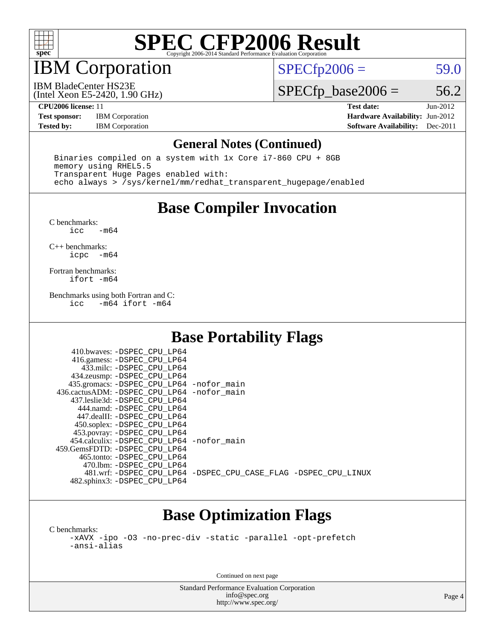

## IBM Corporation

 $SPECTp2006 = 59.0$ 

(Intel Xeon E5-2420, 1.90 GHz) IBM BladeCenter HS23E

 $SPECfp\_base2006 = 56.2$ 

**[Test sponsor:](http://www.spec.org/auto/cpu2006/Docs/result-fields.html#Testsponsor)** IBM Corporation **[Hardware Availability:](http://www.spec.org/auto/cpu2006/Docs/result-fields.html#HardwareAvailability)** Jun-2012

**[CPU2006 license:](http://www.spec.org/auto/cpu2006/Docs/result-fields.html#CPU2006license)** 11 **[Test date:](http://www.spec.org/auto/cpu2006/Docs/result-fields.html#Testdate)** Jun-2012 **[Tested by:](http://www.spec.org/auto/cpu2006/Docs/result-fields.html#Testedby)** IBM Corporation **[Software Availability:](http://www.spec.org/auto/cpu2006/Docs/result-fields.html#SoftwareAvailability)** Dec-2011

#### **[General Notes \(Continued\)](http://www.spec.org/auto/cpu2006/Docs/result-fields.html#GeneralNotes)**

 Binaries compiled on a system with 1x Core i7-860 CPU + 8GB memory using RHEL5.5 Transparent Huge Pages enabled with: echo always > /sys/kernel/mm/redhat\_transparent\_hugepage/enabled

#### **[Base Compiler Invocation](http://www.spec.org/auto/cpu2006/Docs/result-fields.html#BaseCompilerInvocation)**

[C benchmarks](http://www.spec.org/auto/cpu2006/Docs/result-fields.html#Cbenchmarks):  $-m64$ 

[C++ benchmarks:](http://www.spec.org/auto/cpu2006/Docs/result-fields.html#CXXbenchmarks) [icpc -m64](http://www.spec.org/cpu2006/results/res2012q3/cpu2006-20120618-23006.flags.html#user_CXXbase_intel_icpc_64bit_bedb90c1146cab66620883ef4f41a67e)

[Fortran benchmarks](http://www.spec.org/auto/cpu2006/Docs/result-fields.html#Fortranbenchmarks): [ifort -m64](http://www.spec.org/cpu2006/results/res2012q3/cpu2006-20120618-23006.flags.html#user_FCbase_intel_ifort_64bit_ee9d0fb25645d0210d97eb0527dcc06e)

[Benchmarks using both Fortran and C](http://www.spec.org/auto/cpu2006/Docs/result-fields.html#BenchmarksusingbothFortranandC):<br>icc -m64 ifort -m64  $-m64$  ifort  $-m64$ 

#### **[Base Portability Flags](http://www.spec.org/auto/cpu2006/Docs/result-fields.html#BasePortabilityFlags)**

| 435.gromacs: -DSPEC_CPU_LP64 -nofor_main                       |
|----------------------------------------------------------------|
| 436.cactusADM: - DSPEC CPU LP64 - nofor main                   |
|                                                                |
|                                                                |
|                                                                |
|                                                                |
|                                                                |
| 454.calculix: -DSPEC CPU LP64 -nofor main                      |
|                                                                |
|                                                                |
|                                                                |
| 481.wrf: -DSPEC CPU_LP64 -DSPEC_CPU_CASE_FLAG -DSPEC_CPU_LINUX |
|                                                                |
|                                                                |

### **[Base Optimization Flags](http://www.spec.org/auto/cpu2006/Docs/result-fields.html#BaseOptimizationFlags)**

[C benchmarks](http://www.spec.org/auto/cpu2006/Docs/result-fields.html#Cbenchmarks): [-xAVX](http://www.spec.org/cpu2006/results/res2012q3/cpu2006-20120618-23006.flags.html#user_CCbase_f-xAVX) [-ipo](http://www.spec.org/cpu2006/results/res2012q3/cpu2006-20120618-23006.flags.html#user_CCbase_f-ipo) [-O3](http://www.spec.org/cpu2006/results/res2012q3/cpu2006-20120618-23006.flags.html#user_CCbase_f-O3) [-no-prec-div](http://www.spec.org/cpu2006/results/res2012q3/cpu2006-20120618-23006.flags.html#user_CCbase_f-no-prec-div) [-static](http://www.spec.org/cpu2006/results/res2012q3/cpu2006-20120618-23006.flags.html#user_CCbase_f-static) [-parallel](http://www.spec.org/cpu2006/results/res2012q3/cpu2006-20120618-23006.flags.html#user_CCbase_f-parallel) [-opt-prefetch](http://www.spec.org/cpu2006/results/res2012q3/cpu2006-20120618-23006.flags.html#user_CCbase_f-opt-prefetch) [-ansi-alias](http://www.spec.org/cpu2006/results/res2012q3/cpu2006-20120618-23006.flags.html#user_CCbase_f-ansi-alias)

Continued on next page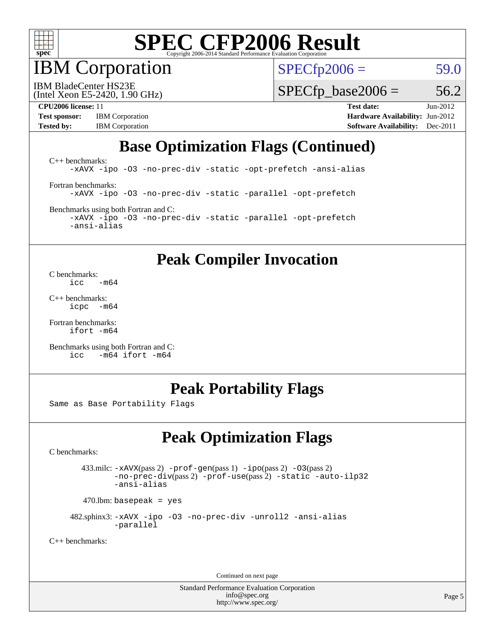

IBM Corporation

 $SPECfp2006 = 59.0$  $SPECfp2006 = 59.0$ 

(Intel Xeon E5-2420, 1.90 GHz) IBM BladeCenter HS23E

 $SPECTp\_base2006 = 56.2$ 

**[Test sponsor:](http://www.spec.org/auto/cpu2006/Docs/result-fields.html#Testsponsor)** IBM Corporation **[Hardware Availability:](http://www.spec.org/auto/cpu2006/Docs/result-fields.html#HardwareAvailability)** Jun-2012 **[Tested by:](http://www.spec.org/auto/cpu2006/Docs/result-fields.html#Testedby)** IBM Corporation **[Software Availability:](http://www.spec.org/auto/cpu2006/Docs/result-fields.html#SoftwareAvailability)** Dec-2011

**[CPU2006 license:](http://www.spec.org/auto/cpu2006/Docs/result-fields.html#CPU2006license)** 11 **[Test date:](http://www.spec.org/auto/cpu2006/Docs/result-fields.html#Testdate)** Jun-2012

### **[Base Optimization Flags \(Continued\)](http://www.spec.org/auto/cpu2006/Docs/result-fields.html#BaseOptimizationFlags)**

[C++ benchmarks:](http://www.spec.org/auto/cpu2006/Docs/result-fields.html#CXXbenchmarks) [-xAVX](http://www.spec.org/cpu2006/results/res2012q3/cpu2006-20120618-23006.flags.html#user_CXXbase_f-xAVX) [-ipo](http://www.spec.org/cpu2006/results/res2012q3/cpu2006-20120618-23006.flags.html#user_CXXbase_f-ipo) [-O3](http://www.spec.org/cpu2006/results/res2012q3/cpu2006-20120618-23006.flags.html#user_CXXbase_f-O3) [-no-prec-div](http://www.spec.org/cpu2006/results/res2012q3/cpu2006-20120618-23006.flags.html#user_CXXbase_f-no-prec-div) [-static](http://www.spec.org/cpu2006/results/res2012q3/cpu2006-20120618-23006.flags.html#user_CXXbase_f-static) [-opt-prefetch](http://www.spec.org/cpu2006/results/res2012q3/cpu2006-20120618-23006.flags.html#user_CXXbase_f-opt-prefetch) [-ansi-alias](http://www.spec.org/cpu2006/results/res2012q3/cpu2006-20120618-23006.flags.html#user_CXXbase_f-ansi-alias) [Fortran benchmarks](http://www.spec.org/auto/cpu2006/Docs/result-fields.html#Fortranbenchmarks): [-xAVX](http://www.spec.org/cpu2006/results/res2012q3/cpu2006-20120618-23006.flags.html#user_FCbase_f-xAVX) [-ipo](http://www.spec.org/cpu2006/results/res2012q3/cpu2006-20120618-23006.flags.html#user_FCbase_f-ipo) [-O3](http://www.spec.org/cpu2006/results/res2012q3/cpu2006-20120618-23006.flags.html#user_FCbase_f-O3) [-no-prec-div](http://www.spec.org/cpu2006/results/res2012q3/cpu2006-20120618-23006.flags.html#user_FCbase_f-no-prec-div) [-static](http://www.spec.org/cpu2006/results/res2012q3/cpu2006-20120618-23006.flags.html#user_FCbase_f-static) [-parallel](http://www.spec.org/cpu2006/results/res2012q3/cpu2006-20120618-23006.flags.html#user_FCbase_f-parallel) [-opt-prefetch](http://www.spec.org/cpu2006/results/res2012q3/cpu2006-20120618-23006.flags.html#user_FCbase_f-opt-prefetch) [Benchmarks using both Fortran and C](http://www.spec.org/auto/cpu2006/Docs/result-fields.html#BenchmarksusingbothFortranandC):

[-xAVX](http://www.spec.org/cpu2006/results/res2012q3/cpu2006-20120618-23006.flags.html#user_CC_FCbase_f-xAVX) [-ipo](http://www.spec.org/cpu2006/results/res2012q3/cpu2006-20120618-23006.flags.html#user_CC_FCbase_f-ipo) [-O3](http://www.spec.org/cpu2006/results/res2012q3/cpu2006-20120618-23006.flags.html#user_CC_FCbase_f-O3) [-no-prec-div](http://www.spec.org/cpu2006/results/res2012q3/cpu2006-20120618-23006.flags.html#user_CC_FCbase_f-no-prec-div) [-static](http://www.spec.org/cpu2006/results/res2012q3/cpu2006-20120618-23006.flags.html#user_CC_FCbase_f-static) [-parallel](http://www.spec.org/cpu2006/results/res2012q3/cpu2006-20120618-23006.flags.html#user_CC_FCbase_f-parallel) [-opt-prefetch](http://www.spec.org/cpu2006/results/res2012q3/cpu2006-20120618-23006.flags.html#user_CC_FCbase_f-opt-prefetch) [-ansi-alias](http://www.spec.org/cpu2006/results/res2012q3/cpu2006-20120618-23006.flags.html#user_CC_FCbase_f-ansi-alias)

#### **[Peak Compiler Invocation](http://www.spec.org/auto/cpu2006/Docs/result-fields.html#PeakCompilerInvocation)**

[C benchmarks](http://www.spec.org/auto/cpu2006/Docs/result-fields.html#Cbenchmarks):  $\frac{1}{2}$ cc  $-\text{m64}$ 

[C++ benchmarks:](http://www.spec.org/auto/cpu2006/Docs/result-fields.html#CXXbenchmarks) [icpc -m64](http://www.spec.org/cpu2006/results/res2012q3/cpu2006-20120618-23006.flags.html#user_CXXpeak_intel_icpc_64bit_bedb90c1146cab66620883ef4f41a67e)

[Fortran benchmarks](http://www.spec.org/auto/cpu2006/Docs/result-fields.html#Fortranbenchmarks): [ifort -m64](http://www.spec.org/cpu2006/results/res2012q3/cpu2006-20120618-23006.flags.html#user_FCpeak_intel_ifort_64bit_ee9d0fb25645d0210d97eb0527dcc06e)

[Benchmarks using both Fortran and C](http://www.spec.org/auto/cpu2006/Docs/result-fields.html#BenchmarksusingbothFortranandC): [icc -m64](http://www.spec.org/cpu2006/results/res2012q3/cpu2006-20120618-23006.flags.html#user_CC_FCpeak_intel_icc_64bit_0b7121f5ab7cfabee23d88897260401c) [ifort -m64](http://www.spec.org/cpu2006/results/res2012q3/cpu2006-20120618-23006.flags.html#user_CC_FCpeak_intel_ifort_64bit_ee9d0fb25645d0210d97eb0527dcc06e)

#### **[Peak Portability Flags](http://www.spec.org/auto/cpu2006/Docs/result-fields.html#PeakPortabilityFlags)**

Same as Base Portability Flags

### **[Peak Optimization Flags](http://www.spec.org/auto/cpu2006/Docs/result-fields.html#PeakOptimizationFlags)**

[C benchmarks](http://www.spec.org/auto/cpu2006/Docs/result-fields.html#Cbenchmarks):

 433.milc: [-xAVX](http://www.spec.org/cpu2006/results/res2012q3/cpu2006-20120618-23006.flags.html#user_peakPASS2_CFLAGSPASS2_LDFLAGS433_milc_f-xAVX)(pass 2) [-prof-gen](http://www.spec.org/cpu2006/results/res2012q3/cpu2006-20120618-23006.flags.html#user_peakPASS1_CFLAGSPASS1_LDFLAGS433_milc_prof_gen_e43856698f6ca7b7e442dfd80e94a8fc)(pass 1) [-ipo](http://www.spec.org/cpu2006/results/res2012q3/cpu2006-20120618-23006.flags.html#user_peakPASS2_CFLAGSPASS2_LDFLAGS433_milc_f-ipo)(pass 2) [-O3](http://www.spec.org/cpu2006/results/res2012q3/cpu2006-20120618-23006.flags.html#user_peakPASS2_CFLAGSPASS2_LDFLAGS433_milc_f-O3)(pass 2) [-no-prec-div](http://www.spec.org/cpu2006/results/res2012q3/cpu2006-20120618-23006.flags.html#user_peakPASS2_CFLAGSPASS2_LDFLAGS433_milc_f-no-prec-div)(pass 2) [-prof-use](http://www.spec.org/cpu2006/results/res2012q3/cpu2006-20120618-23006.flags.html#user_peakPASS2_CFLAGSPASS2_LDFLAGS433_milc_prof_use_bccf7792157ff70d64e32fe3e1250b55)(pass 2) [-static](http://www.spec.org/cpu2006/results/res2012q3/cpu2006-20120618-23006.flags.html#user_peakOPTIMIZE433_milc_f-static) [-auto-ilp32](http://www.spec.org/cpu2006/results/res2012q3/cpu2006-20120618-23006.flags.html#user_peakCOPTIMIZE433_milc_f-auto-ilp32) [-ansi-alias](http://www.spec.org/cpu2006/results/res2012q3/cpu2006-20120618-23006.flags.html#user_peakCOPTIMIZE433_milc_f-ansi-alias)

 $470.$ lbm: basepeak = yes

 482.sphinx3: [-xAVX](http://www.spec.org/cpu2006/results/res2012q3/cpu2006-20120618-23006.flags.html#user_peakOPTIMIZE482_sphinx3_f-xAVX) [-ipo](http://www.spec.org/cpu2006/results/res2012q3/cpu2006-20120618-23006.flags.html#user_peakOPTIMIZE482_sphinx3_f-ipo) [-O3](http://www.spec.org/cpu2006/results/res2012q3/cpu2006-20120618-23006.flags.html#user_peakOPTIMIZE482_sphinx3_f-O3) [-no-prec-div](http://www.spec.org/cpu2006/results/res2012q3/cpu2006-20120618-23006.flags.html#user_peakOPTIMIZE482_sphinx3_f-no-prec-div) [-unroll2](http://www.spec.org/cpu2006/results/res2012q3/cpu2006-20120618-23006.flags.html#user_peakCOPTIMIZE482_sphinx3_f-unroll_784dae83bebfb236979b41d2422d7ec2) [-ansi-alias](http://www.spec.org/cpu2006/results/res2012q3/cpu2006-20120618-23006.flags.html#user_peakCOPTIMIZE482_sphinx3_f-ansi-alias) [-parallel](http://www.spec.org/cpu2006/results/res2012q3/cpu2006-20120618-23006.flags.html#user_peakCOPTIMIZE482_sphinx3_f-parallel)

[C++ benchmarks:](http://www.spec.org/auto/cpu2006/Docs/result-fields.html#CXXbenchmarks)

Continued on next page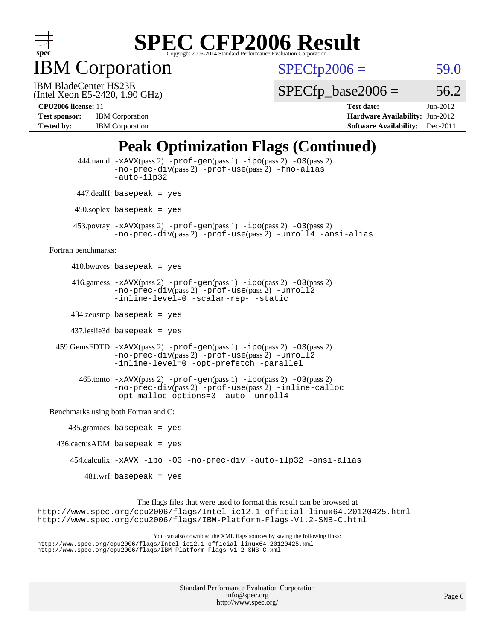

IBM Corporation

 $SPECTp2006 = 59.0$ 

(Intel Xeon E5-2420, 1.90 GHz) IBM BladeCenter HS23E

 $SPECTp\_base2006 = 56.2$ 

**[Test sponsor:](http://www.spec.org/auto/cpu2006/Docs/result-fields.html#Testsponsor)** IBM Corporation **[Hardware Availability:](http://www.spec.org/auto/cpu2006/Docs/result-fields.html#HardwareAvailability)** Jun-2012 **[Tested by:](http://www.spec.org/auto/cpu2006/Docs/result-fields.html#Testedby)** IBM Corporation **[Software Availability:](http://www.spec.org/auto/cpu2006/Docs/result-fields.html#SoftwareAvailability)** Dec-2011

**[CPU2006 license:](http://www.spec.org/auto/cpu2006/Docs/result-fields.html#CPU2006license)** 11 **[Test date:](http://www.spec.org/auto/cpu2006/Docs/result-fields.html#Testdate)** Jun-2012

### **[Peak Optimization Flags \(Continued\)](http://www.spec.org/auto/cpu2006/Docs/result-fields.html#PeakOptimizationFlags)**

```
Standard Performance Evaluation Corporation
           444.namd: -xAVX(pass 2) -prof-gen(pass 1) -ipo(pass 2) -O3(pass 2)
                   -no-prec-div(pass 2) -prof-use(pass 2) -fno-alias
                   -auto-ilp32
           447.dealII: basepeak = yes
          450.soplex: basepeak = yes
          453.povray: -xAVX(pass 2) -prof-gen(pass 1) -ipo(pass 2) -O3(pass 2)
                   -no-prec-div(pass 2) -prof-use(pass 2) -unroll4 -ansi-alias
   Fortran benchmarks: 
         410.bwaves: basepeak = yes
        416.gamess: -xAVX(pass 2) -prof-gen(pass 1) -ipo(pass 2) -O3(pass 2)
                   -no-prec-div(pass 2) -prof-use(pass 2) -unroll2
                   -inline-level=0 -scalar-rep- -static
         434.zeusmp: basepeak = yes
         437.leslie3d: basepeak = yes
     459.GemsFDTD: -xAVX(pass 2) -prof-gen(pass 1) -ipo(pass 2) -O3(pass 2)
                   -no-prec-div(pass 2) -prof-use(pass 2) -unroll2
                   -inline-level=0 -opt-prefetch -parallel
          465.tonto: -xAVX(pass 2) -prof-gen(pass 1) -po(pass 2) -03(pass 2)
                   -no-prec-div(pass 2) -prof-use(pass 2) -inline-calloc
                   -opt-malloc-options=3 -auto -unroll4
   Benchmarks using both Fortran and C: 
        435.gromacs: basepeak = yes
     436.cactusADM: basepeak = yes
         454.calculix: -xAVX -ipo -O3 -no-prec-div -auto-ilp32 -ansi-alias
            481.wrf: basepeak = yes
                         The flags files that were used to format this result can be browsed at
http://www.spec.org/cpu2006/flags/Intel-ic12.1-official-linux64.20120425.html
http://www.spec.org/cpu2006/flags/IBM-Platform-Flags-V1.2-SNB-C.html
                             You can also download the XML flags sources by saving the following links:
http://www.spec.org/cpu2006/flags/Intel-ic12.1-official-linux64.20120425.xml
http://www.spec.org/cpu2006/flags/IBM-Platform-Flags-V1.2-SNB-C.xml
```